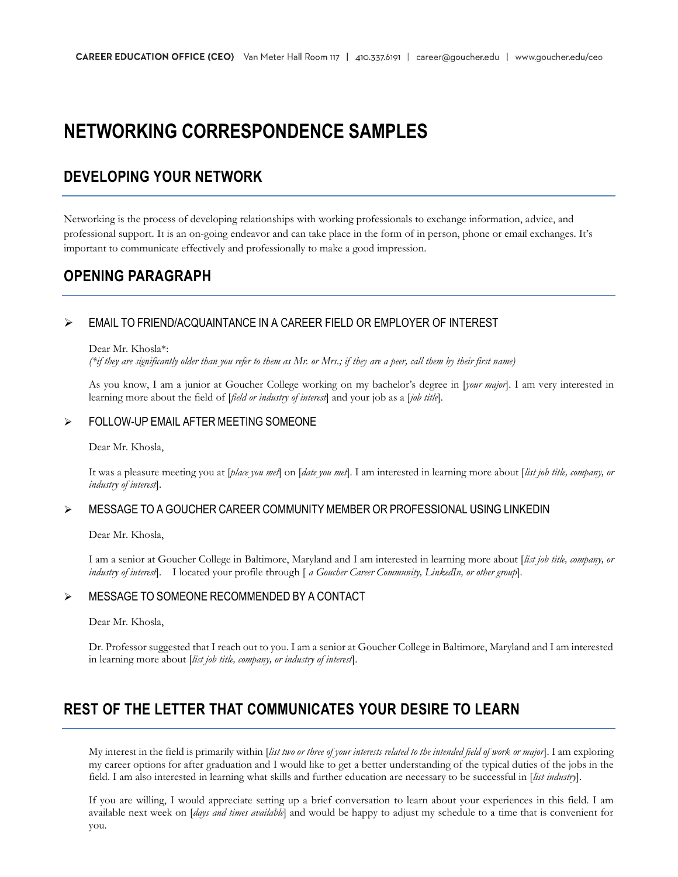# **NETWORKING CORRESPONDENCE SAMPLES**

### **DEVELOPING YOUR NETWORK**

Networking is the process of developing relationships with working professionals to exchange information, advice, and professional support. It is an on-going endeavor and can take place in the form of in person, phone or email exchanges. It's important to communicate effectively and professionally to make a good impression.

### **OPENING PARAGRAPH**

#### ➢ EMAIL TO FRIEND/ACQUAINTANCE IN A CAREER FIELD OR EMPLOYER OF INTEREST

#### Dear Mr. Khosla\*:

*(\*if they are significantly older than you refer to them as Mr. or Mrs.; if they are a peer, call them by their first name)*

As you know, I am a junior at Goucher College working on my bachelor's degree in [*your major*]. I am very interested in learning more about the field of [*field or industry of interest*] and your job as a [*job title*].

#### ➢ FOLLOW-UP EMAIL AFTER MEETING SOMEONE

Dear Mr. Khosla,

It was a pleasure meeting you at [*place you met*] on [*date you met*]. I am interested in learning more about [*list job title, company, or industry of interest*].

#### ➢ MESSAGE TO A GOUCHER CAREER COMMUNITY MEMBER OR PROFESSIONAL USING LINKEDIN

Dear Mr. Khosla,

I am a senior at Goucher College in Baltimore, Maryland and I am interested in learning more about [*list job title, company, or industry of interest*]. I located your profile through [ *a Goucher Career Community, LinkedIn, or other group*].

#### ➢ MESSAGE TO SOMEONE RECOMMENDED BY A CONTACT

Dear Mr. Khosla,

Dr. Professor suggested that I reach out to you. I am a senior at Goucher College in Baltimore, Maryland and I am interested in learning more about [*list job title, company, or industry of interest*].

# **REST OF THE LETTER THAT COMMUNICATES YOUR DESIRE TO LEARN**

My interest in the field is primarily within [*list two or three of your interests related to the intended field of work or major*]. I am exploring my career options for after graduation and I would like to get a better understanding of the typical duties of the jobs in the field. I am also interested in learning what skills and further education are necessary to be successful in [*list industry*].

If you are willing, I would appreciate setting up a brief conversation to learn about your experiences in this field. I am available next week on [*days and times available*] and would be happy to adjust my schedule to a time that is convenient for you.